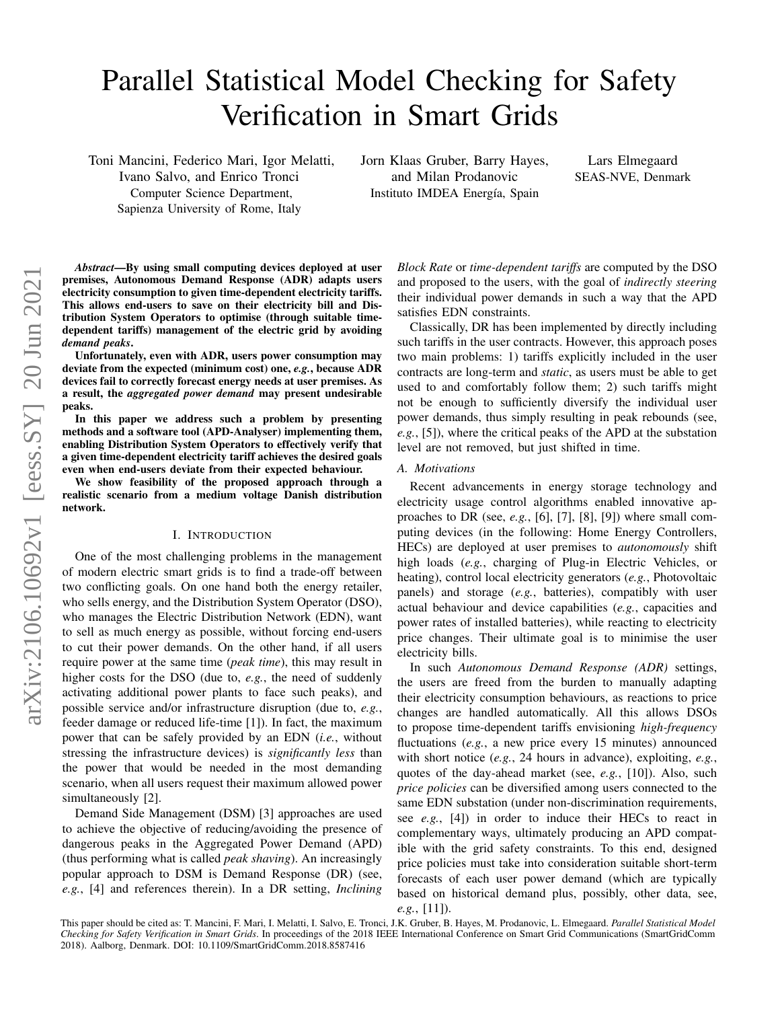# Parallel Statistical Model Checking for Safety Verification in Smart Grids

Toni Mancini, Federico Mari, Igor Melatti, Ivano Salvo, and Enrico Tronci Computer Science Department, Sapienza University of Rome, Italy

Jorn Klaas Gruber, Barry Hayes, and Milan Prodanovic Instituto IMDEA Energía, Spain

Lars Elmegaard SEAS-NVE, Denmark

*Abstract*—By using small computing devices deployed at user premises, Autonomous Demand Response (ADR) adapts users electricity consumption to given time-dependent electricity tariffs. This allows end-users to save on their electricity bill and Distribution System Operators to optimise (through suitable timedependent tariffs) management of the electric grid by avoiding *demand peaks*.

Unfortunately, even with ADR, users power consumption may deviate from the expected (minimum cost) one, *e.g.*, because ADR devices fail to correctly forecast energy needs at user premises. As a result, the *aggregated power demand* may present undesirable peaks.

In this paper we address such a problem by presenting methods and a software tool (APD-Analyser) implementing them, enabling Distribution System Operators to effectively verify that a given time-dependent electricity tariff achieves the desired goals even when end-users deviate from their expected behaviour.

We show feasibility of the proposed approach through a realistic scenario from a medium voltage Danish distribution network.

# I. INTRODUCTION

One of the most challenging problems in the management of modern electric smart grids is to find a trade-off between two conflicting goals. On one hand both the energy retailer, who sells energy, and the Distribution System Operator (DSO), who manages the Electric Distribution Network (EDN), want to sell as much energy as possible, without forcing end-users to cut their power demands. On the other hand, if all users require power at the same time (*peak time*), this may result in higher costs for the DSO (due to, *e.g.*, the need of suddenly activating additional power plants to face such peaks), and possible service and/or infrastructure disruption (due to, *e.g.*, feeder damage or reduced life-time [1]). In fact, the maximum power that can be safely provided by an EDN (*i.e.*, without stressing the infrastructure devices) is *significantly less* than the power that would be needed in the most demanding scenario, when all users request their maximum allowed power simultaneously [2].

Demand Side Management (DSM) [3] approaches are used to achieve the objective of reducing/avoiding the presence of dangerous peaks in the Aggregated Power Demand (APD) (thus performing what is called *peak shaving*). An increasingly popular approach to DSM is Demand Response (DR) (see, *e.g.*, [4] and references therein). In a DR setting, *Inclining* *Block Rate* or *time-dependent tariffs* are computed by the DSO and proposed to the users, with the goal of *indirectly steering* their individual power demands in such a way that the APD satisfies EDN constraints.

Classically, DR has been implemented by directly including such tariffs in the user contracts. However, this approach poses two main problems: 1) tariffs explicitly included in the user contracts are long-term and *static*, as users must be able to get used to and comfortably follow them; 2) such tariffs might not be enough to sufficiently diversify the individual user power demands, thus simply resulting in peak rebounds (see, *e.g.*, [5]), where the critical peaks of the APD at the substation level are not removed, but just shifted in time.

# *A. Motivations*

Recent advancements in energy storage technology and electricity usage control algorithms enabled innovative approaches to DR (see, *e.g.*, [6], [7], [8], [9]) where small computing devices (in the following: Home Energy Controllers, HECs) are deployed at user premises to *autonomously* shift high loads (*e.g.*, charging of Plug-in Electric Vehicles, or heating), control local electricity generators (*e.g.*, Photovoltaic panels) and storage (*e.g.*, batteries), compatibly with user actual behaviour and device capabilities (*e.g.*, capacities and power rates of installed batteries), while reacting to electricity price changes. Their ultimate goal is to minimise the user electricity bills.

In such *Autonomous Demand Response (ADR)* settings, the users are freed from the burden to manually adapting their electricity consumption behaviours, as reactions to price changes are handled automatically. All this allows DSOs to propose time-dependent tariffs envisioning *high-frequency* fluctuations (*e.g.*, a new price every 15 minutes) announced with short notice (*e.g.*, 24 hours in advance), exploiting, *e.g.*, quotes of the day-ahead market (see, *e.g.*, [10]). Also, such *price policies* can be diversified among users connected to the same EDN substation (under non-discrimination requirements, see *e.g.*, [4]) in order to induce their HECs to react in complementary ways, ultimately producing an APD compatible with the grid safety constraints. To this end, designed price policies must take into consideration suitable short-term forecasts of each user power demand (which are typically based on historical demand plus, possibly, other data, see, *e.g.*, [11]).

This paper should be cited as: T. Mancini, F. Mari, I. Melatti, I. Salvo, E. Tronci, J.K. Gruber, B. Hayes, M. Prodanovic, L. Elmegaard. *Parallel Statistical Model Checking for Safety Verification in Smart Grids*. In proceedings of the 2018 IEEE International Conference on Smart Grid Communications (SmartGridComm 2018). Aalborg, Denmark. DOI: 10.1109/SmartGridComm.2018.8587416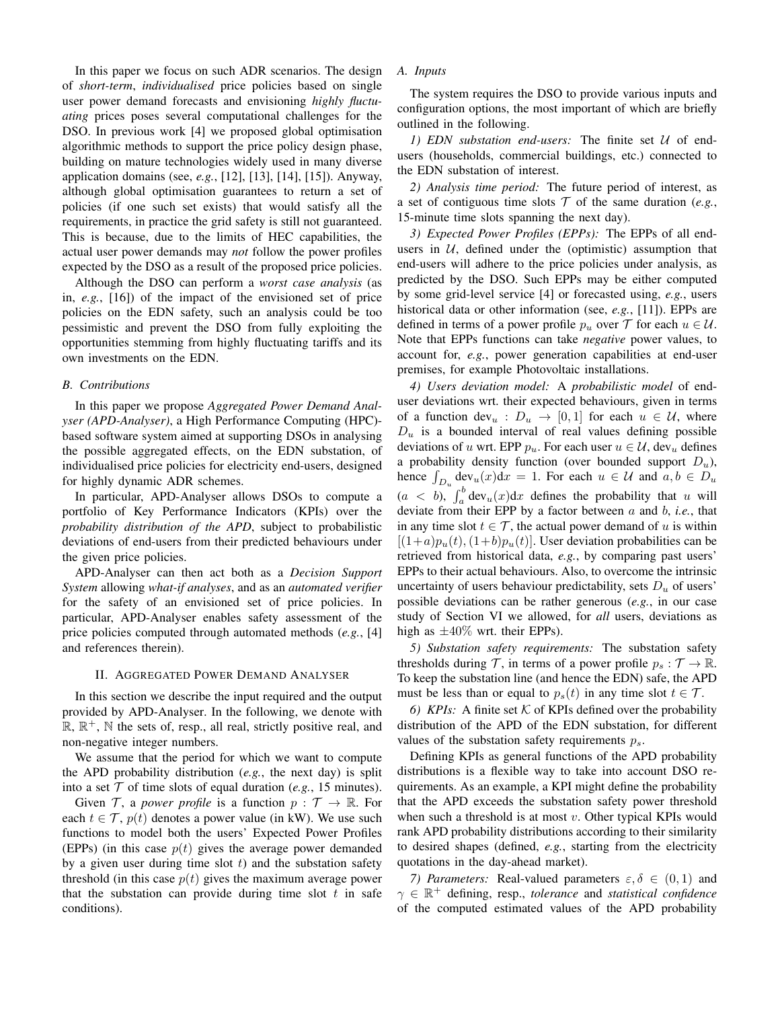In this paper we focus on such ADR scenarios. The design of *short-term*, *individualised* price policies based on single user power demand forecasts and envisioning *highly fluctuating* prices poses several computational challenges for the DSO. In previous work [4] we proposed global optimisation algorithmic methods to support the price policy design phase, building on mature technologies widely used in many diverse application domains (see, *e.g.*, [12], [13], [14], [15]). Anyway, although global optimisation guarantees to return a set of policies (if one such set exists) that would satisfy all the requirements, in practice the grid safety is still not guaranteed. This is because, due to the limits of HEC capabilities, the actual user power demands may *not* follow the power profiles expected by the DSO as a result of the proposed price policies.

Although the DSO can perform a *worst case analysis* (as in, *e.g.*, [16]) of the impact of the envisioned set of price policies on the EDN safety, such an analysis could be too pessimistic and prevent the DSO from fully exploiting the opportunities stemming from highly fluctuating tariffs and its own investments on the EDN.

# *B. Contributions*

In this paper we propose *Aggregated Power Demand Analyser (APD-Analyser)*, a High Performance Computing (HPC) based software system aimed at supporting DSOs in analysing the possible aggregated effects, on the EDN substation, of individualised price policies for electricity end-users, designed for highly dynamic ADR schemes.

In particular, APD-Analyser allows DSOs to compute a portfolio of Key Performance Indicators (KPIs) over the *probability distribution of the APD*, subject to probabilistic deviations of end-users from their predicted behaviours under the given price policies.

APD-Analyser can then act both as a *Decision Support System* allowing *what-if analyses*, and as an *automated verifier* for the safety of an envisioned set of price policies. In particular, APD-Analyser enables safety assessment of the price policies computed through automated methods (*e.g.*, [4] and references therein).

#### II. AGGREGATED POWER DEMAND ANALYSER

In this section we describe the input required and the output provided by APD-Analyser. In the following, we denote with  $\mathbb{R}, \mathbb{R}^+, \mathbb{N}$  the sets of, resp., all real, strictly positive real, and non-negative integer numbers.

We assume that the period for which we want to compute the APD probability distribution (*e.g.*, the next day) is split into a set  $T$  of time slots of equal duration (*e.g.*, 15 minutes).

Given T, a *power profile* is a function  $p : \mathcal{T} \to \mathbb{R}$ . For each  $t \in \mathcal{T}$ ,  $p(t)$  denotes a power value (in kW). We use such functions to model both the users' Expected Power Profiles (EPPs) (in this case  $p(t)$  gives the average power demanded by a given user during time slot  $t$ ) and the substation safety threshold (in this case  $p(t)$  gives the maximum average power that the substation can provide during time slot  $t$  in safe conditions).

#### *A. Inputs*

The system requires the DSO to provide various inputs and configuration options, the most important of which are briefly outlined in the following.

*1) EDN substation end-users:* The finite set U of endusers (households, commercial buildings, etc.) connected to the EDN substation of interest.

*2) Analysis time period:* The future period of interest, as a set of contiguous time slots  $T$  of the same duration (*e.g.*, 15-minute time slots spanning the next day).

*3) Expected Power Profiles (EPPs):* The EPPs of all endusers in  $U$ , defined under the (optimistic) assumption that end-users will adhere to the price policies under analysis, as predicted by the DSO. Such EPPs may be either computed by some grid-level service [4] or forecasted using, *e.g.*, users historical data or other information (see, *e.g.*, [11]). EPPs are defined in terms of a power profile  $p_u$  over  $\mathcal T$  for each  $u \in \mathcal U$ . Note that EPPs functions can take *negative* power values, to account for, *e.g.*, power generation capabilities at end-user premises, for example Photovoltaic installations.

*4) Users deviation model:* A *probabilistic model* of enduser deviations wrt. their expected behaviours, given in terms of a function dev<sub>u</sub>:  $D_u \rightarrow [0, 1]$  for each  $u \in \mathcal{U}$ , where  $D<sub>u</sub>$  is a bounded interval of real values defining possible deviations of u wrt. EPP  $p_u$ . For each user  $u \in \mathcal{U}$ , dev<sub>u</sub> defines a probability density function (over bounded support  $D_u$ ), hence  $\int_{D_u} \text{dev}_u(x) dx = 1$ . For each  $u \in \mathcal{U}$  and  $a, b \in D_u$  $(a < b)$ ,  $\int_a^b \text{dev}_u(x) dx$  defines the probability that u will deviate from their EPP by a factor between a and b, *i.e.*, that in any time slot  $t \in \mathcal{T}$ , the actual power demand of u is within  $[(1+a)p_u(t),(1+b)p_u(t)]$ . User deviation probabilities can be retrieved from historical data, *e.g.*, by comparing past users' EPPs to their actual behaviours. Also, to overcome the intrinsic uncertainty of users behaviour predictability, sets  $D<sub>u</sub>$  of users' possible deviations can be rather generous (*e.g.*, in our case study of Section VI we allowed, for *all* users, deviations as high as  $\pm 40\%$  wrt. their EPPs).

*5) Substation safety requirements:* The substation safety thresholds during T, in terms of a power profile  $p_s : \mathcal{T} \to \mathbb{R}$ . To keep the substation line (and hence the EDN) safe, the APD must be less than or equal to  $p_s(t)$  in any time slot  $t \in \mathcal{T}$ .

6) KPIs: A finite set  $K$  of KPIs defined over the probability distribution of the APD of the EDN substation, for different values of the substation safety requirements  $p_s$ .

Defining KPIs as general functions of the APD probability distributions is a flexible way to take into account DSO requirements. As an example, a KPI might define the probability that the APD exceeds the substation safety power threshold when such a threshold is at most  $v$ . Other typical KPIs would rank APD probability distributions according to their similarity to desired shapes (defined, *e.g.*, starting from the electricity quotations in the day-ahead market).

*7) Parameters:* Real-valued parameters  $\varepsilon, \delta \in (0, 1)$  and  $\gamma \in \mathbb{R}^+$  defining, resp., *tolerance* and *statistical confidence* of the computed estimated values of the APD probability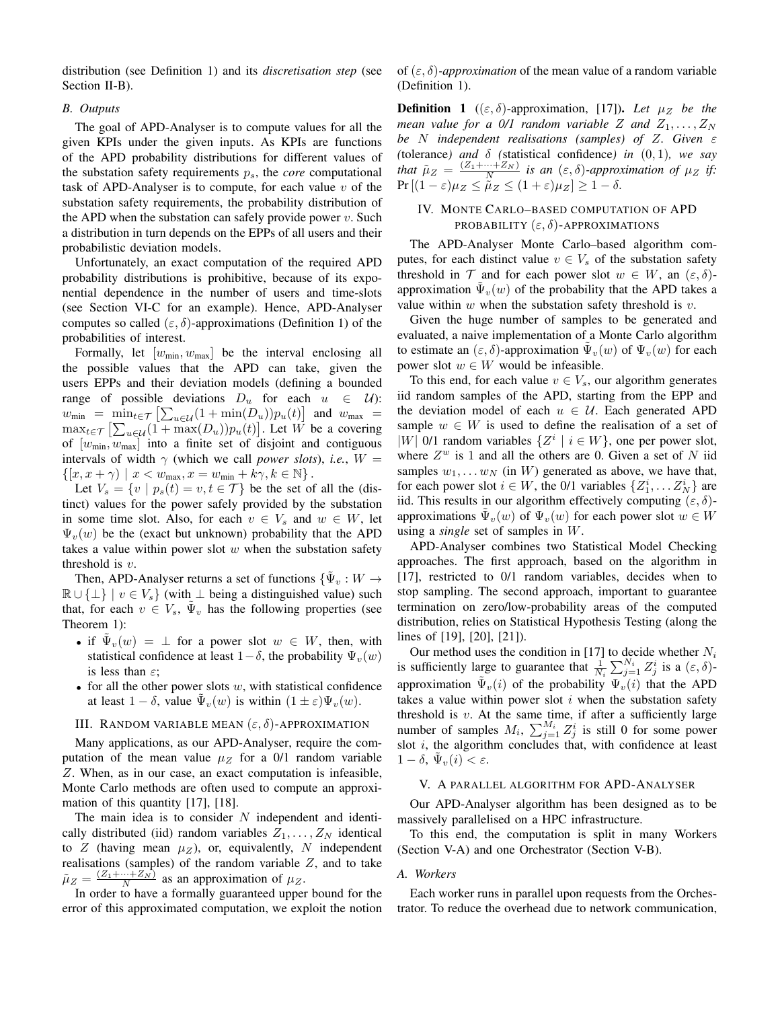distribution (see Definition 1) and its *discretisation step* (see Section II-B).

# *B. Outputs*

The goal of APD-Analyser is to compute values for all the given KPIs under the given inputs. As KPIs are functions of the APD probability distributions for different values of the substation safety requirements  $p_s$ , the *core* computational task of APD-Analyser is to compute, for each value  $v$  of the substation safety requirements, the probability distribution of the APD when the substation can safely provide power  $v$ . Such a distribution in turn depends on the EPPs of all users and their probabilistic deviation models.

Unfortunately, an exact computation of the required APD probability distributions is prohibitive, because of its exponential dependence in the number of users and time-slots (see Section VI-C for an example). Hence, APD-Analyser computes so called  $(\varepsilon, \delta)$ -approximations (Definition 1) of the probabilities of interest.

Formally, let  $[w_{\text{min}}, w_{\text{max}}]$  be the interval enclosing all the possible values that the APD can take, given the users EPPs and their deviation models (defining a bounded range of possible deviations  $D_u$  for each  $u \in \mathcal{U}$ :  $w_{\min}$  =  $\min_{t \in \mathcal{T}} \left[ \sum_{u \in \mathcal{U}} (1 + \min(D_u)) p_u(t) \right]$  and  $w_{\max}$  =  $\max_{t \in \mathcal{T}} \left[ \sum_{u \in \mathcal{U}} (1 + \max(D_u)) p_u(t) \right]$ . Let W be a covering of  $[w_{\text{min}}, w_{\text{max}}]$  into a finite set of disjoint and contiguous intervals of width  $\gamma$  (which we call *power slots*), *i.e.*,  $W =$  $\{[x, x + \gamma) \mid x < w_{\text{max}}, x = w_{\text{min}} + k\gamma, k \in \mathbb{N}\}.$ 

Let  $V_s = \{v \mid p_s(t) = v, t \in \mathcal{T}\}\$ be the set of all the (distinct) values for the power safely provided by the substation in some time slot. Also, for each  $v \in V_s$  and  $w \in W$ , let  $\Psi_{\nu}(w)$  be the (exact but unknown) probability that the APD takes a value within power slot  $w$  when the substation safety threshold is  $v$ .

Then, APD-Analyser returns a set of functions  $\{\tilde{\Psi}_v:W\to\mathbb{R}\}$  $\mathbb{R} \cup \{\perp\} \mid v \in V_s$  (with  $\perp$  being a distinguished value) such that, for each  $v \in V_s$ ,  $\tilde{\Psi}_v$  has the following properties (see Theorem 1):

- if  $\tilde{\Psi}_v(w) = \perp$  for a power slot  $w \in W$ , then, with statistical confidence at least  $1-\delta$ , the probability  $\Psi_{\nu}(w)$ is less than  $\varepsilon$ ;
- for all the other power slots  $w$ , with statistical confidence at least  $1 - \delta$ , value  $\tilde{\Psi}_v(w)$  is within  $(1 \pm \varepsilon) \Psi_v(w)$ .

# III. RANDOM VARIABLE MEAN  $(\varepsilon, \delta)$ -APPROXIMATION

Many applications, as our APD-Analyser, require the computation of the mean value  $\mu$ z for a 0/1 random variable Z. When, as in our case, an exact computation is infeasible, Monte Carlo methods are often used to compute an approximation of this quantity [17], [18].

The main idea is to consider  $N$  independent and identically distributed (iid) random variables  $Z_1, \ldots, Z_N$  identical to Z (having mean  $\mu_Z$ ), or, equivalently, N independent realisations (samples) of the random variable  $Z$ , and to take  $\tilde{\mu}_Z = \frac{(Z_1 + \dots + Z_N)}{N}$  as an approximation of  $\mu_Z$ .

In order to have a formally guaranteed upper bound for the error of this approximated computation, we exploit the notion of  $(\varepsilon, \delta)$ -*approximation* of the mean value of a random variable (Definition 1).

**Definition 1** (( $\varepsilon$ ,  $\delta$ )-approximation, [17]). Let  $\mu_Z$  be the *mean value for a 0/1 random variable* Z and  $Z_1, \ldots, Z_N$ *be* N *independent realisations (samples) of* Z*. Given* ε *(*tolerance*)* and  $\delta$  *(*statistical confidence*)* in  $(0, 1)$ *, we say that*  $\tilde{\mu}_Z = \frac{(Z_1 + \cdots + Z_N)}{N}$  *is an*  $(\varepsilon, \delta)$ -*approximation of*  $\mu_Z$  *if:*  $Pr[(1-\varepsilon)\mu_Z \leq \tilde{\mu}_Z \leq (1+\varepsilon)\mu_Z] \geq 1-\delta.$ 

# IV. MONTE CARLO–BASED COMPUTATION OF APD PROBABILITY  $(\varepsilon, \delta)$ -APPROXIMATIONS

The APD-Analyser Monte Carlo–based algorithm computes, for each distinct value  $v \in V_s$  of the substation safety threshold in  $\mathcal T$  and for each power slot  $w \in W$ , an  $(\varepsilon, \delta)$ approximation  $\tilde{\Psi}_v(w)$  of the probability that the APD takes a value within  $w$  when the substation safety threshold is  $v$ .

Given the huge number of samples to be generated and evaluated, a naive implementation of a Monte Carlo algorithm to estimate an  $(\varepsilon, \delta)$ -approximation  $\tilde{\Psi}_v(w)$  of  $\Psi_v(w)$  for each power slot  $w \in W$  would be infeasible.

To this end, for each value  $v \in V_s$ , our algorithm generates iid random samples of the APD, starting from the EPP and the deviation model of each  $u \in U$ . Each generated APD sample  $w \in W$  is used to define the realisation of a set of |W| 0/1 random variables  $\{Z^i \mid i \in W\}$ , one per power slot, where  $Z^w$  is 1 and all the others are 0. Given a set of N iid samples  $w_1, \ldots w_N$  (in W) generated as above, we have that, for each power slot  $i \in W$ , the 0/1 variables  $\{Z_1^i, \ldots Z_N^i\}$  are iid. This results in our algorithm effectively computing  $(\varepsilon, \delta)$ approximations  $\tilde{\Psi}_v(w)$  of  $\Psi_v(w)$  for each power slot  $w \in W$ using a *single* set of samples in W.

APD-Analyser combines two Statistical Model Checking approaches. The first approach, based on the algorithm in [17], restricted to 0/1 random variables, decides when to stop sampling. The second approach, important to guarantee termination on zero/low-probability areas of the computed distribution, relies on Statistical Hypothesis Testing (along the lines of [19], [20], [21]).

Our method uses the condition in [17] to decide whether  $N_i$ is sufficiently large to guarantee that  $\frac{1}{N_i} \sum_{j=1}^{N_i} Z_j^i$  is a  $(\varepsilon, \delta)$ approximation  $\tilde{\Psi}_v(i)$  of the probability  $\Psi_v(i)$  that the APD takes a value within power slot  $i$  when the substation safety threshold is  $v$ . At the same time, if after a sufficiently large number of samples  $M_i$ ,  $\sum_{j=1}^{M_i} Z_j^i$  is still 0 for some power slot i, the algorithm concludes that, with confidence at least  $1 - \delta, \, \tilde{\Psi}_v(i) < \varepsilon.$ 

# V. A PARALLEL ALGORITHM FOR APD-ANALYSER

Our APD-Analyser algorithm has been designed as to be massively parallelised on a HPC infrastructure.

To this end, the computation is split in many Workers (Section V-A) and one Orchestrator (Section V-B).

# *A. Workers*

Each worker runs in parallel upon requests from the Orchestrator. To reduce the overhead due to network communication,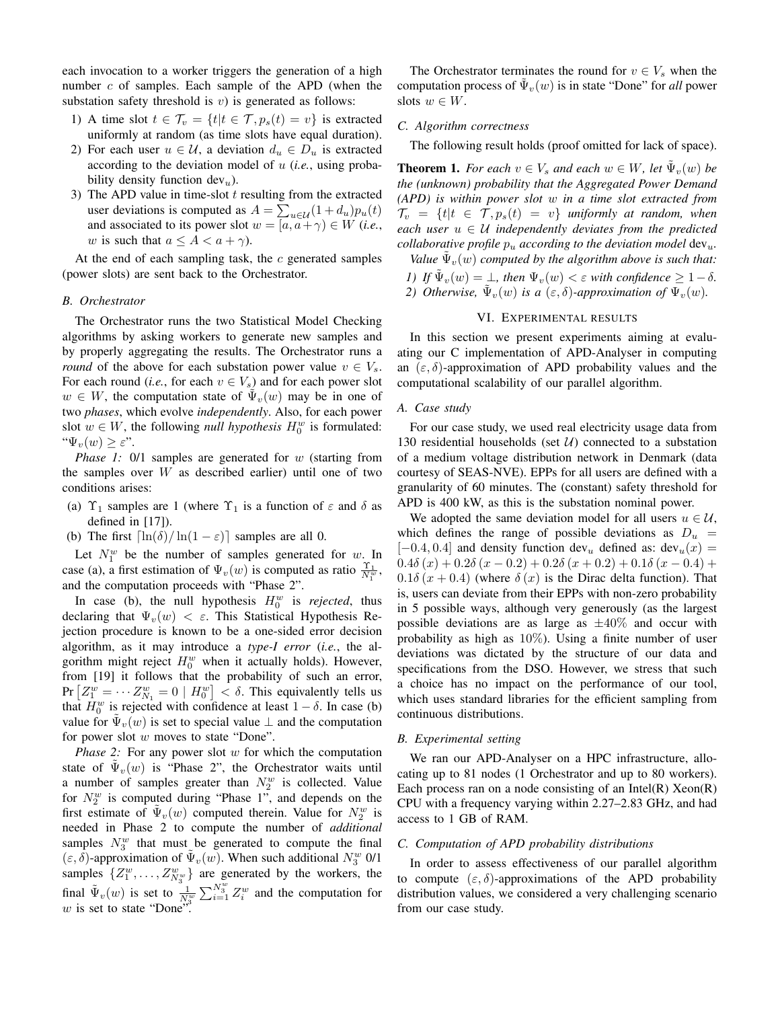each invocation to a worker triggers the generation of a high number  $c$  of samples. Each sample of the APD (when the substation safety threshold is  $v$ ) is generated as follows:

- 1) A time slot  $t \in \mathcal{T}_v = \{t | t \in \mathcal{T}, p_s(t) = v\}$  is extracted uniformly at random (as time slots have equal duration).
- 2) For each user  $u \in \mathcal{U}$ , a deviation  $d_u \in D_u$  is extracted according to the deviation model of u (*i.e.*, using probability density function  $dev_u$ ).
- 3) The APD value in time-slot  $t$  resulting from the extracted user deviations is computed as  $A = \sum_{u \in \mathcal{U}} (1 + d_u) p_u(t)$ and associated to its power slot  $w = [a, a + \gamma) \in W$  (*i.e.*, w is such that  $a \leq A < a + \gamma$ ).

At the end of each sampling task, the  $c$  generated samples (power slots) are sent back to the Orchestrator.

#### *B. Orchestrator*

The Orchestrator runs the two Statistical Model Checking algorithms by asking workers to generate new samples and by properly aggregating the results. The Orchestrator runs a *round* of the above for each substation power value  $v \in V_s$ . For each round (*i.e.*, for each  $v \in V_s$ ) and for each power slot  $w \in W$ , the computation state of  $\tilde{\Psi}_v(w)$  may be in one of two *phases*, which evolve *independently*. Also, for each power slot  $w \in W$ , the following *null hypothesis*  $H_0^w$  is formulated: " $\Psi_v(w) \geq \varepsilon$ ".

*Phase 1:* 0/1 samples are generated for w (starting from the samples over  $W$  as described earlier) until one of two conditions arises:

- (a)  $\Upsilon_1$  samples are 1 (where  $\Upsilon_1$  is a function of  $\varepsilon$  and  $\delta$  as defined in [17]).
- (b) The first  $\left[\ln(\delta)/\ln(1-\epsilon)\right]$  samples are all 0.

Let  $N_1^w$  be the number of samples generated for w. In case (a), a first estimation of  $\Psi_v(w)$  is computed as ratio  $\frac{\Upsilon_1}{N_1^w}$ , and the computation proceeds with "Phase 2".

In case (b), the null hypothesis  $H_0^w$  is *rejected*, thus declaring that  $\Psi_{v}(w) < \varepsilon$ . This Statistical Hypothesis Rejection procedure is known to be a one-sided error decision algorithm, as it may introduce a *type-I error* (*i.e.*, the algorithm might reject  $H_0^w$  when it actually holds). However, from [19] it follows that the probability of such an error, Pr  $\left[ Z_1^w = \cdots Z_{N_1}^w = 0 \mid H_0^w \right] < \delta$ . This equivalently tells us that  $H_0^w$  is rejected with confidence at least  $1 - \delta$ . In case (b) value for  $\tilde{\Psi}_v(w)$  is set to special value  $\perp$  and the computation for power slot w moves to state "Done".

*Phase 2:* For any power slot w for which the computation state of  $\tilde{\Psi}_v(w)$  is "Phase 2", the Orchestrator waits until a number of samples greater than  $N_2^w$  is collected. Value for  $N_2^w$  is computed during "Phase 1", and depends on the first estimate of  $\tilde{\Psi}_v(w)$  computed therein. Value for  $N_2^w$  is needed in Phase 2 to compute the number of *additional* samples  $N_3^w$  that must be generated to compute the final  $(\varepsilon, \delta)$ -approximation of  $\tilde{\Psi}_v(w)$ . When such additional  $N_3^w$  0/1 samples  $\{Z_1^w, \ldots, Z_{N_3^w}^w\}$  are generated by the workers, the final  $\tilde{\Psi}_v(w)$  is set to  $\frac{1}{N_3^w} \sum_{i=1}^{N_3^w} Z_i^w$  and the computation for  $w$  is set to state "Done".

The Orchestrator terminates the round for  $v \in V_s$  when the computation process of  $\tilde{\Psi}_v(w)$  is in state "Done" for *all* power slots  $w \in W$ .

## *C. Algorithm correctness*

The following result holds (proof omitted for lack of space).

**Theorem 1.** *For each*  $v \in V_s$  *and each*  $w \in W$ *, let*  $\tilde{\Psi}_v(w)$  *be the (unknown) probability that the Aggregated Power Demand (APD) is within power slot* w *in a time slot extracted from*  $\mathcal{T}_v = \{t | t \in \mathcal{T}, p_s(t) = v\}$  *uniformly at random, when*  $each$  user  $u \in U$  *independently deviates from the predicted collaborative profile*  $p_u$  *according to the deviation model*  $dev_u$ .

*Value*  $\tilde{\Psi}_v(w)$  *computed by the algorithm above is such that: 1) If*  $\tilde{\Psi}_v(w) = \bot$ , then  $\Psi_v(w) < \varepsilon$  with confidence  $\geq 1 - \delta$ .

2) *Otherwise*,  $\tilde{\Psi}_v(w)$  *is a*  $(\varepsilon, \delta)$ -*approximation of*  $\Psi_v(w)$ *.* 

# VI. EXPERIMENTAL RESULTS

In this section we present experiments aiming at evaluating our C implementation of APD-Analyser in computing an  $(\varepsilon, \delta)$ -approximation of APD probability values and the computational scalability of our parallel algorithm.

# *A. Case study*

For our case study, we used real electricity usage data from 130 residential households (set  $U$ ) connected to a substation of a medium voltage distribution network in Denmark (data courtesy of SEAS-NVE). EPPs for all users are defined with a granularity of 60 minutes. The (constant) safety threshold for APD is 400 kW, as this is the substation nominal power.

We adopted the same deviation model for all users  $u \in \mathcal{U}$ , which defines the range of possible deviations as  $D_u$  =  $[-0.4, 0.4]$  and density function dev<sub>u</sub> defined as: dev<sub>u</sub> $(x)$  =  $0.4\delta(x) + 0.2\delta(x-0.2) + 0.2\delta(x+0.2) + 0.1\delta(x-0.4) +$  $0.1\delta(x+0.4)$  (where  $\delta(x)$  is the Dirac delta function). That is, users can deviate from their EPPs with non-zero probability in 5 possible ways, although very generously (as the largest possible deviations are as large as  $\pm 40\%$  and occur with probability as high as  $10\%$ ). Using a finite number of user deviations was dictated by the structure of our data and specifications from the DSO. However, we stress that such a choice has no impact on the performance of our tool, which uses standard libraries for the efficient sampling from continuous distributions.

#### *B. Experimental setting*

We ran our APD-Analyser on a HPC infrastructure, allocating up to 81 nodes (1 Orchestrator and up to 80 workers). Each process ran on a node consisting of an Intel $(R)$  Xeon $(R)$ CPU with a frequency varying within 2.27–2.83 GHz, and had access to 1 GB of RAM.

#### *C. Computation of APD probability distributions*

In order to assess effectiveness of our parallel algorithm to compute  $(\varepsilon, \delta)$ -approximations of the APD probability distribution values, we considered a very challenging scenario from our case study.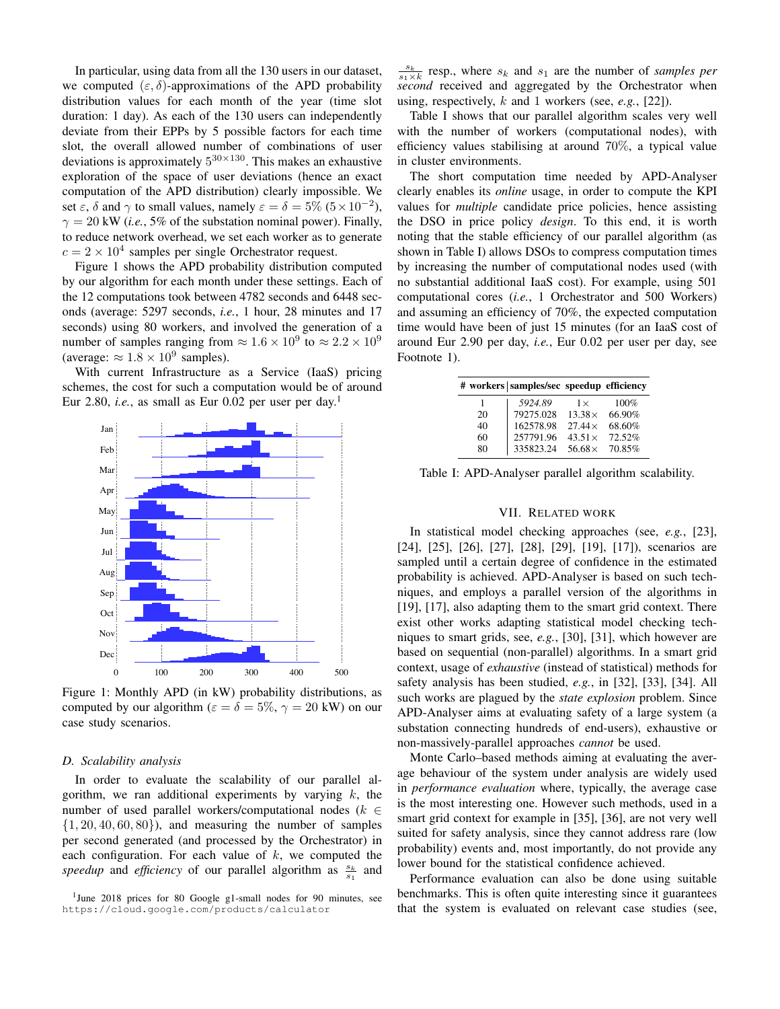In particular, using data from all the 130 users in our dataset, we computed  $(\varepsilon, \delta)$ -approximations of the APD probability distribution values for each month of the year (time slot duration: 1 day). As each of the 130 users can independently deviate from their EPPs by 5 possible factors for each time slot, the overall allowed number of combinations of user deviations is approximately  $5^{30\times130}$ . This makes an exhaustive exploration of the space of user deviations (hence an exact computation of the APD distribution) clearly impossible. We set  $\varepsilon$ ,  $\delta$  and  $\gamma$  to small values, namely  $\varepsilon = \delta = 5\%$   $(5 \times 10^{-2})$ ,  $\gamma = 20$  kW (*i.e.*, 5% of the substation nominal power). Finally, to reduce network overhead, we set each worker as to generate  $c = 2 \times 10^4$  samples per single Orchestrator request.

Figure 1 shows the APD probability distribution computed by our algorithm for each month under these settings. Each of the 12 computations took between 4782 seconds and 6448 seconds (average: 5297 seconds, *i.e.*, 1 hour, 28 minutes and 17 seconds) using 80 workers, and involved the generation of a number of samples ranging from  $\approx 1.6 \times 10^9$  to  $\approx 2.2 \times 10^9$ (average:  $\approx 1.8 \times 10^9$  samples).

With current Infrastructure as a Service (IaaS) pricing schemes, the cost for such a computation would be of around Eur 2.80, *i.e.*, as small as Eur 0.02 per user per day.<sup>1</sup>



Figure 1: Monthly APD (in kW) probability distributions, as computed by our algorithm ( $\varepsilon = \delta = 5\%, \gamma = 20$  kW) on our case study scenarios.

# *D. Scalability analysis*

In order to evaluate the scalability of our parallel algorithm, we ran additional experiments by varying  $k$ , the number of used parallel workers/computational nodes ( $k \in$  $\{1, 20, 40, 60, 80\}$ , and measuring the number of samples per second generated (and processed by the Orchestrator) in each configuration. For each value of  $k$ , we computed the speedup and efficiency of our parallel algorithm as  $\frac{s_k}{s_1}$  and

 $\frac{s_k}{s_1 \times k}$  resp., where  $s_k$  and  $s_1$  are the number of *samples per second* received and aggregated by the Orchestrator when using, respectively, k and 1 workers (see, *e.g.*, [22]).

Table I shows that our parallel algorithm scales very well with the number of workers (computational nodes), with efficiency values stabilising at around 70%, a typical value in cluster environments.

The short computation time needed by APD-Analyser clearly enables its *online* usage, in order to compute the KPI values for *multiple* candidate price policies, hence assisting the DSO in price policy *design*. To this end, it is worth noting that the stable efficiency of our parallel algorithm (as shown in Table I) allows DSOs to compress computation times by increasing the number of computational nodes used (with no substantial additional IaaS cost). For example, using 501 computational cores (*i.e.*, 1 Orchestrator and 500 Workers) and assuming an efficiency of 70%, the expected computation time would have been of just 15 minutes (for an IaaS cost of around Eur 2.90 per day, *i.e.*, Eur 0.02 per user per day, see Footnote 1).

| 5924.89   | $1\times$      | 100%                                       |
|-----------|----------------|--------------------------------------------|
| 79275.028 | $13.38\times$  | 66.90%                                     |
| 162578.98 | $27.44\times$  | 68.60%                                     |
| 257791.96 | $43.51\times$  | 72.52%                                     |
| 335823.24 | 56.68 $\times$ | 70.85%                                     |
|           |                | # workers   samples/sec speedup efficiency |

Table I: APD-Analyser parallel algorithm scalability.

# VII. RELATED WORK

In statistical model checking approaches (see, *e.g.*, [23], [24], [25], [26], [27], [28], [29], [19], [17]), scenarios are sampled until a certain degree of confidence in the estimated probability is achieved. APD-Analyser is based on such techniques, and employs a parallel version of the algorithms in [19], [17], also adapting them to the smart grid context. There exist other works adapting statistical model checking techniques to smart grids, see, *e.g.*, [30], [31], which however are based on sequential (non-parallel) algorithms. In a smart grid context, usage of *exhaustive* (instead of statistical) methods for safety analysis has been studied, *e.g.*, in [32], [33], [34]. All such works are plagued by the *state explosion* problem. Since APD-Analyser aims at evaluating safety of a large system (a substation connecting hundreds of end-users), exhaustive or non-massively-parallel approaches *cannot* be used.

Monte Carlo–based methods aiming at evaluating the average behaviour of the system under analysis are widely used in *performance evaluation* where, typically, the average case is the most interesting one. However such methods, used in a smart grid context for example in [35], [36], are not very well suited for safety analysis, since they cannot address rare (low probability) events and, most importantly, do not provide any lower bound for the statistical confidence achieved.

Performance evaluation can also be done using suitable benchmarks. This is often quite interesting since it guarantees that the system is evaluated on relevant case studies (see,

<sup>&</sup>lt;sup>1</sup>June 2018 prices for 80 Google g1-small nodes for 90 minutes, see https://cloud.google.com/products/calculator